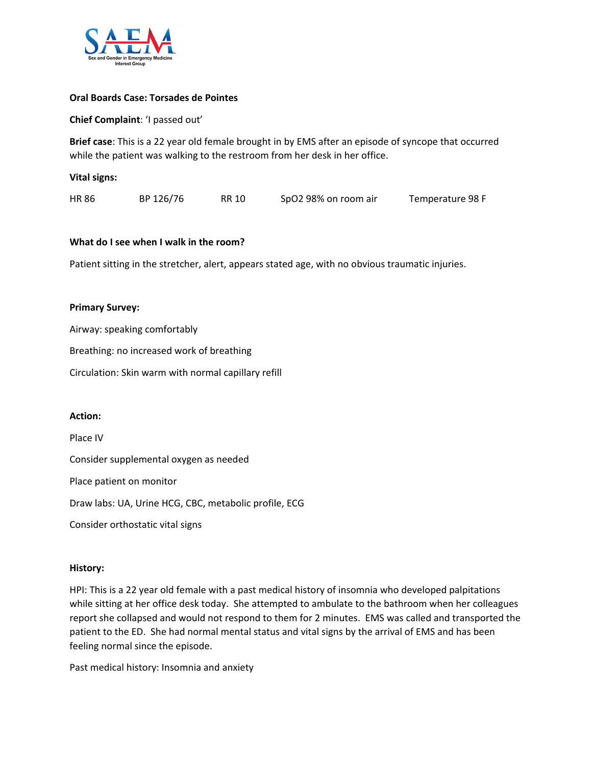

#### **Oral Boards Case: Torsades de Pointes**

**Chief Complaint**: 'I passed out'

**Brief case**: This is a 22 year old female brought in by EMS after an episode of syncope that occurred while the patient was walking to the restroom from her desk in her office.

| <b>Vital signs:</b> |  |
|---------------------|--|
|---------------------|--|

| <b>HR 86</b> | BP 126/76 | RR 10 | SpO2 98% on room air | Temperature 98 F |
|--------------|-----------|-------|----------------------|------------------|
|--------------|-----------|-------|----------------------|------------------|

## **What do I see when I walk in the room?**

Patient sitting in the stretcher, alert, appears stated age, with no obvious traumatic injuries.

#### **Primary Survey:**

Airway: speaking comfortably

Breathing: no increased work of breathing

Circulation: Skin warm with normal capillary refill

#### **Action:**

Place IV Consider supplemental oxygen as needed Place patient on monitor Draw labs: UA, Urine HCG, CBC, metabolic profile, ECG Consider orthostatic vital signs

## **History:**

HPI: This is a 22 year old female with a past medical history of insomnia who developed palpitations while sitting at her office desk today. She attempted to ambulate to the bathroom when her colleagues report she collapsed and would not respond to them for 2 minutes. EMS was called and transported the patient to the ED. She had normal mental status and vital signs by the arrival of EMS and has been feeling normal since the episode.

Past medical history: Insomnia and anxiety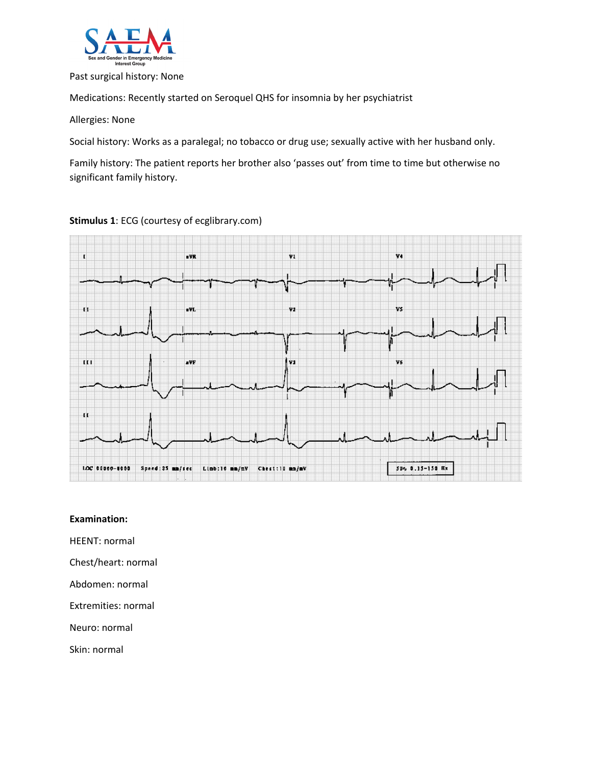

#### Past surgical history: None

Medications: Recently started on Seroquel QHS for insomnia by her psychiatrist

Allergies: None

Social history: Works as a paralegal; no tobacco or drug use; sexually active with her husband only.

Family history: The patient reports her brother also 'passes out' from time to time but otherwise no significant family history.

**Stimulus 1**: ECG (courtesy of ecglibrary.com)



#### **Examination:**

HEENT: normal

Chest/heart: normal

Abdomen: normal

Extremities: normal

Neuro: normal

Skin: normal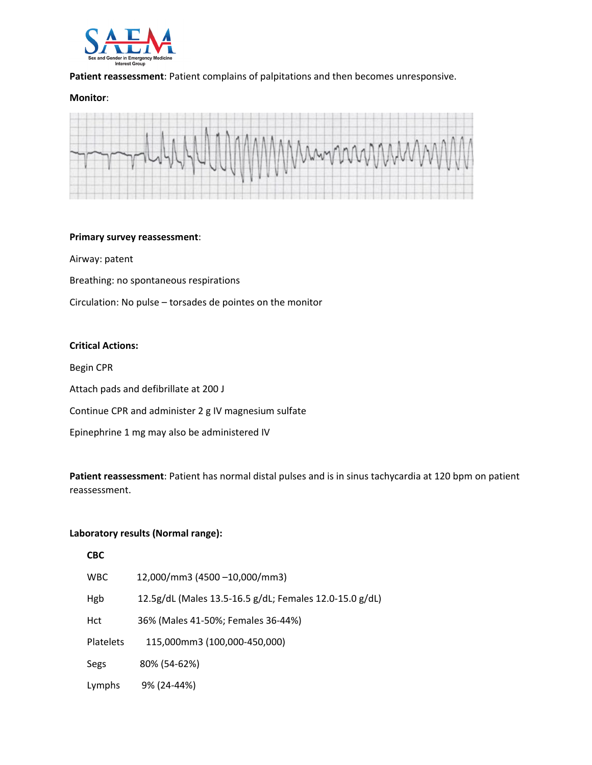

## **Patient reassessment**: Patient complains of palpitations and then becomes unresponsive.

#### **Monitor**:



#### **Primary survey reassessment**:

Airway: patent

Breathing: no spontaneous respirations

Circulation: No pulse – torsades de pointes on the monitor

#### **Critical Actions:**

Begin CPR

 $\overline{a}$ 

Attach pads and defibrillate at 200 J

Continue CPR and administer 2 g IV magnesium sulfate

Epinephrine 1 mg may also be administered IV

**Patient reassessment**: Patient has normal distal pulses and is in sinus tachycardia at 120 bpm on patient reassessment.

#### **Laboratory results (Normal range):**

| CBC        |                                                         |
|------------|---------------------------------------------------------|
| <b>WBC</b> | 12,000/mm3 (4500-10,000/mm3)                            |
| Hgb        | 12.5g/dL (Males 13.5-16.5 g/dL; Females 12.0-15.0 g/dL) |
| Hct        | 36% (Males 41-50%; Females 36-44%)                      |
| Platelets  | 115,000mm3 (100,000-450,000)                            |
| Segs       | 80% (54-62%)                                            |
| Lymphs     | 9% (24-44%)                                             |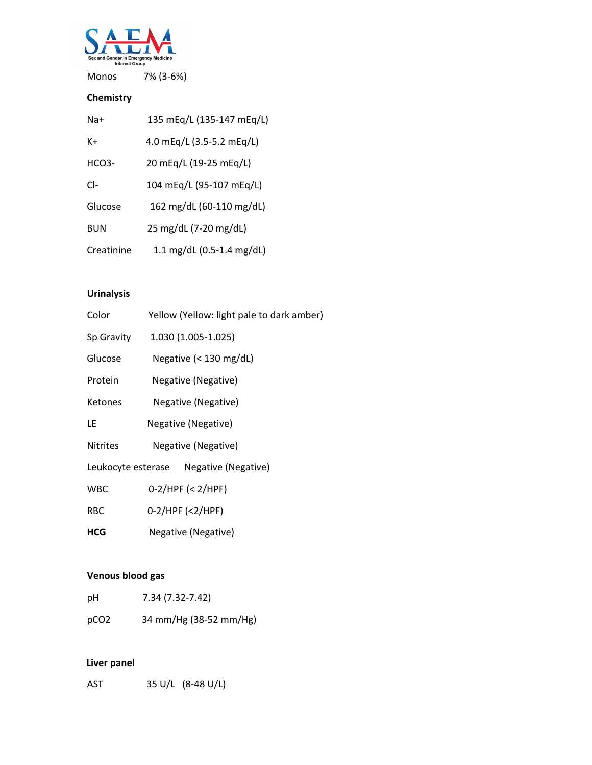

Monos 7% (3-6%)

# **Chemistry**

| Na+        | 135 mEq/L (135-147 mEq/L) |
|------------|---------------------------|
| K+         | 4.0 mEq/L (3.5-5.2 mEq/L) |
| $HCO3-$    | 20 mEg/L (19-25 mEg/L)    |
| $Cl-$      | 104 mEg/L (95-107 mEg/L)  |
| Glucose    | 162 mg/dL (60-110 mg/dL)  |
| <b>BUN</b> | 25 mg/dL (7-20 mg/dL)     |
| Creatinine | 1.1 mg/dL (0.5-1.4 mg/dL) |

# **Urinalysis**

| Color           | Yellow (Yellow: light pale to dark amber) |
|-----------------|-------------------------------------------|
| Sp Gravity      | 1.030 (1.005-1.025)                       |
| Glucose         | Negative $(< 130 \text{ mg/dL})$          |
| Protein         | Negative (Negative)                       |
| <b>Ketones</b>  | Negative (Negative)                       |
| LE              | Negative (Negative)                       |
| <b>Nitrites</b> | Negative (Negative)                       |
|                 | Leukocyte esterase Negative (Negative)    |
| <b>WBC</b>      | $0-2/HPF \leq 2/HPF$                      |
| <b>RBC</b>      | 0-2/HPF (<2/HPF)                          |
| <b>HCG</b>      | Negative (Negative)                       |
|                 |                                           |

# **Venous blood gas**

| рH               | 7.34 (7.32-7.42)       |
|------------------|------------------------|
| pCO <sub>2</sub> | 34 mm/Hg (38-52 mm/Hg) |

# **Liver panel**

AST 35 U/L (8-48 U/L)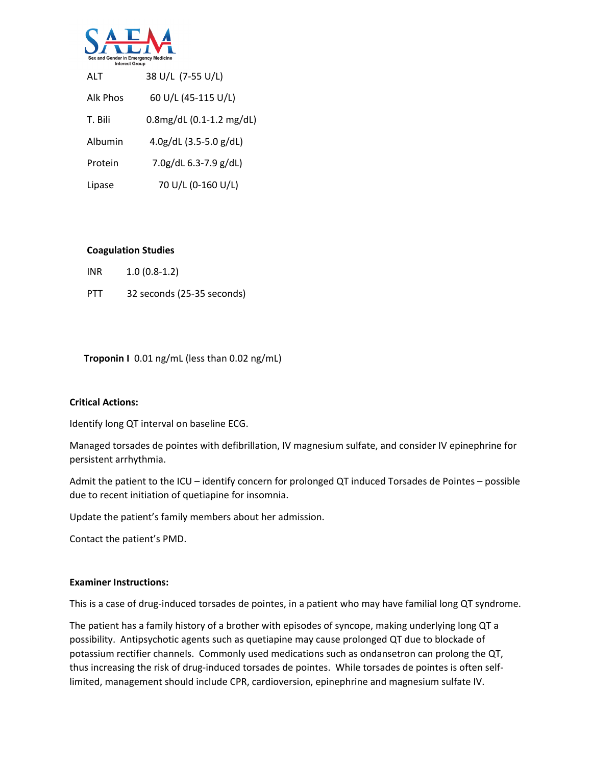

| ALT      | 38 U/L (7-55 U/L)                |
|----------|----------------------------------|
| Alk Phos | 60 U/L (45-115 U/L)              |
| T. Bili  | $0.8$ mg/dL $(0.1-1.2$ mg/dL $)$ |
| Albumin  | $4.0g/dL$ (3.5-5.0 g/dL)         |
| Protein  | $7.0$ g/dL 6.3-7.9 g/dL)         |
| Lipase   | 70 U/L (0-160 U/L)               |

#### **Coagulation Studies**

| <b>INR</b> | $1.0(0.8-1.2)$             |
|------------|----------------------------|
| <b>PTT</b> | 32 seconds (25-35 seconds) |

## **Troponin I** 0.01 ng/mL (less than 0.02 ng/mL)

## **Critical Actions:**

Identify long QT interval on baseline ECG.

Managed torsades de pointes with defibrillation, IV magnesium sulfate, and consider IV epinephrine for persistent arrhythmia.

Admit the patient to the ICU – identify concern for prolonged QT induced Torsades de Pointes – possible due to recent initiation of quetiapine for insomnia.

Update the patient's family members about her admission.

Contact the patient's PMD.

#### **Examiner Instructions:**

This is a case of drug-induced torsades de pointes, in a patient who may have familial long QT syndrome.

The patient has a family history of a brother with episodes of syncope, making underlying long QT a possibility. Antipsychotic agents such as quetiapine may cause prolonged QT due to blockade of potassium rectifier channels. Commonly used medications such as ondansetron can prolong the QT, thus increasing the risk of drug-induced torsades de pointes. While torsades de pointes is often selflimited, management should include CPR, cardioversion, epinephrine and magnesium sulfate IV.